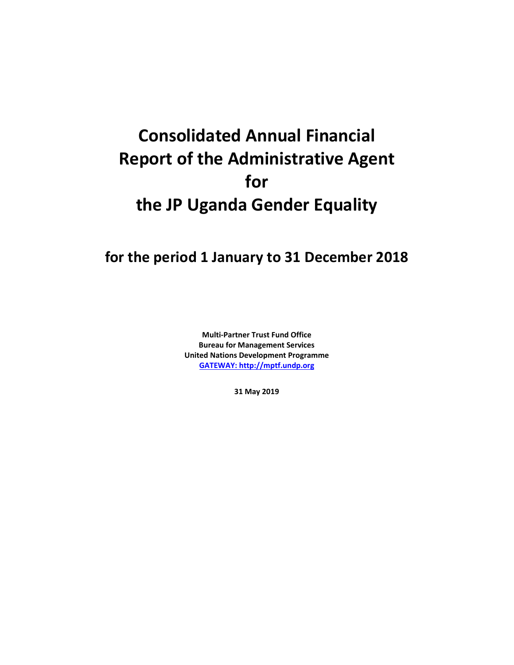## **Consolidated Annual Financial Report of the Administrative Agent for the JP Uganda Gender Equality**

## **for the period 1 January to 31 December 2018**

**Multi-Partner Trust Fund Office Bureau for Management Services United Nations Development Programme [GATEWAY: http://mptf.undp.org](http://mptf.undp.org/)**

**31 May 2019**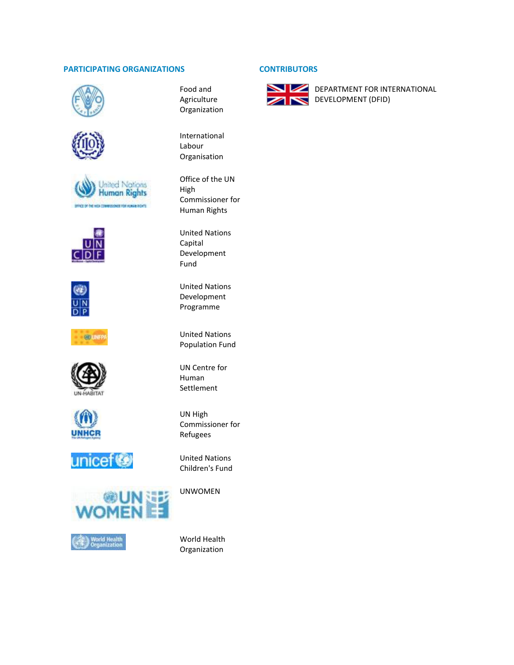## **PARTICIPATING ORGANIZATIONS CONTRIBUTORS**











600 U.S.











Food and Agriculture Organization

International Labour Organisation

Office of the UN High Commissioner for Human Rights

United Nations Capital Development Fund

United Nations Development Programme

United Nations Population Fund

UN Centre for Human Settlement

UN High Commissioner for Refugees

United Nations Children's Fund

UNWOMEN

World Health Organization



**DEPARTMENT FOR INTERNATIONAL** DEVELOPMENT (DFID)